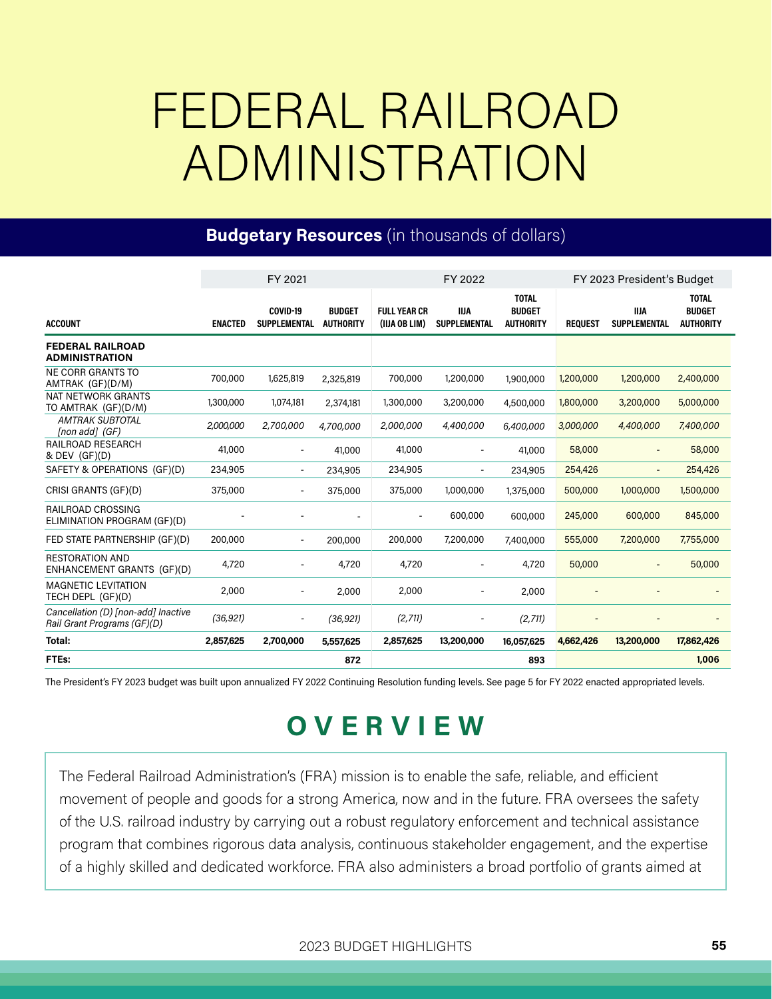## FEDERAL RAILROAD ADMINISTRATION

#### **Budgetary Resources** (in thousands of dollars)

|                                                                    | FY 2021        |                                 |                                   | FY 2022                              |                                    |                                                   | FY 2023 President's Budget |                                    |                                                   |
|--------------------------------------------------------------------|----------------|---------------------------------|-----------------------------------|--------------------------------------|------------------------------------|---------------------------------------------------|----------------------------|------------------------------------|---------------------------------------------------|
| <b>ACCOUNT</b>                                                     | <b>ENACTED</b> | COVID-19<br><b>SUPPLEMENTAL</b> | <b>BUDGET</b><br><b>AUTHORITY</b> | <b>FULL YEAR CR</b><br>(IIJA OB LIM) | <b>IIJA</b><br><b>SUPPLEMENTAL</b> | <b>TOTAL</b><br><b>BUDGET</b><br><b>AUTHORITY</b> | <b>REQUEST</b>             | <b>IIJA</b><br><b>SUPPLEMENTAL</b> | <b>TOTAL</b><br><b>BUDGET</b><br><b>AUTHORITY</b> |
| <b>FEDERAL RAILROAD</b><br><b>ADMINISTRATION</b>                   |                |                                 |                                   |                                      |                                    |                                                   |                            |                                    |                                                   |
| <b>NE CORR GRANTS TO</b><br>AMTRAK (GF)(D/M)                       | 700,000        | 1,625,819                       | 2,325,819                         | 700,000                              | 1,200,000                          | 1,900,000                                         | 1,200,000                  | 1,200,000                          | 2,400,000                                         |
| <b>NAT NETWORK GRANTS</b><br>TO AMTRAK (GF)(D/M)                   | 1,300,000      | 1,074,181                       | 2,374,181                         | 1,300,000                            | 3,200,000                          | 4,500,000                                         | 1,800,000                  | 3,200,000                          | 5,000,000                                         |
| <b>AMTRAK SUBTOTAL</b><br>[non add] (GF)                           | 2,000,000      | 2,700,000                       | 4,700,000                         | 2,000,000                            | 4,400,000                          | 6,400,000                                         | 3,000,000                  | 4,400,000                          | 7,400,000                                         |
| <b>RAILROAD RESEARCH</b><br>& DEV (GF)(D)                          | 41,000         |                                 | 41,000                            | 41,000                               |                                    | 41,000                                            | 58,000                     |                                    | 58,000                                            |
| SAFETY & OPERATIONS (GF)(D)                                        | 234,905        | $\overline{\phantom{a}}$        | 234,905                           | 234,905                              | $\overline{a}$                     | 234,905                                           | 254,426                    |                                    | 254,426                                           |
| CRISI GRANTS (GF)(D)                                               | 375,000        | $\overline{\phantom{a}}$        | 375,000                           | 375,000                              | 1,000,000                          | 1,375,000                                         | 500,000                    | 1,000,000                          | 1,500,000                                         |
| RAILROAD CROSSING<br>ELIMINATION PROGRAM (GF)(D)                   |                |                                 |                                   |                                      | 600,000                            | 600,000                                           | 245,000                    | 600,000                            | 845,000                                           |
| FED STATE PARTNERSHIP (GF)(D)                                      | 200,000        | $\overline{\phantom{a}}$        | 200,000                           | 200,000                              | 7,200,000                          | 7,400,000                                         | 555,000                    | 7,200,000                          | 7,755,000                                         |
| <b>RESTORATION AND</b><br>ENHANCEMENT GRANTS (GF)(D)               | 4,720          |                                 | 4,720                             | 4,720                                |                                    | 4,720                                             | 50,000                     | $\overline{\phantom{a}}$           | 50,000                                            |
| <b>MAGNETIC LEVITATION</b><br>TECH DEPL (GF)(D)                    | 2,000          |                                 | 2,000                             | 2,000                                |                                    | 2,000                                             |                            |                                    |                                                   |
| Cancellation (D) [non-add] Inactive<br>Rail Grant Programs (GF)(D) | (36, 921)      |                                 | (36, 921)                         | (2,711)                              |                                    | (2,711)                                           |                            |                                    |                                                   |
| Total:                                                             | 2,857,625      | 2,700,000                       | 5,557,625                         | 2,857,625                            | 13,200,000                         | 16,057,625                                        | 4,662,426                  | 13,200,000                         | 17,862,426                                        |
| FTEs:                                                              |                |                                 | 872                               |                                      |                                    | 893                                               |                            |                                    | 1,006                                             |

The President's FY 2023 budget was built upon annualized FY 2022 Continuing Resolution funding levels. See page 5 for FY 2022 enacted appropriated levels.

### O V E R V I E W

The Federal Railroad Administration's (FRA) mission is to enable the safe, reliable, and efficient movement of people and goods for a strong America, now and in the future. FRA oversees the safety of the U.S. railroad industry by carrying out a robust regulatory enforcement and technical assistance program that combines rigorous data analysis, continuous stakeholder engagement, and the expertise of a highly skilled and dedicated workforce FRA also administers a broad portfolio of grants aimed at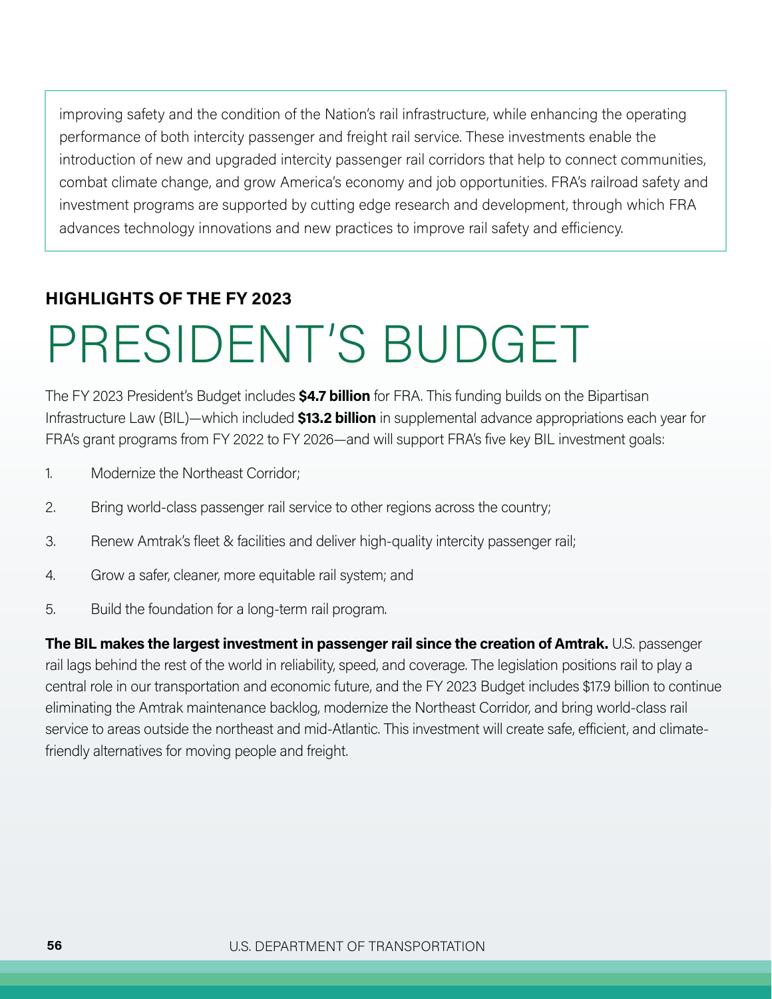improving safety and the condition of the Nation's rail infrastructure, while enhancing the operating performance of both intercity passenger and freight rail service These investments enable the introduction of new and upgraded intercity passenger rail corridors that help to connect communities, combat climate change, and grow America's economy and job opportunities FRA's railroad safety and investment programs are supported by cutting edge research and development, through which FRA advances technology innovations and new practices to improve rail safety and efficiency

#### HIGHLIGHTS OF THE FY 2023

# PRESIDENT 'S BUDGET

The FY 2023 President's Budget includes **\$4.7 billion** for FRA. This funding builds on the Bipartisan Infrastructure Law (BIL)—which included \$13.2 billion in supplemental advance appropriations each year for FRA's grant programs from FY 2022 to FY 2026—and will support FRA's five key BIL investment goals:

- 1 Modernize the Northeast Corridor;
- 2. Bring world-class passenger rail service to other regions across the country;
- 3. Renew Amtrak's fleet & facilities and deliver high-quality intercity passenger rail;
- 4. Grow a safer, cleaner, more equitable rail system; and
- 5. Build the foundation for a long-term rail program.

The BIL makes the largest investment in passenger rail since the creation of Amtrak. U.S. passenger rail lags behind the rest of the world in reliability, speed, and coverage The legislation positions rail to play a central role in our transportation and economic future, and the FY 2023 Budget includes \$17.9 billion to continue eliminating the Amtrak maintenance backlog, modernize the Northeast Corridor, and bring world-class rail service to areas outside the northeast and mid-Atlantic. This investment will create safe, efficient, and climatefriendly alternatives for moving people and freight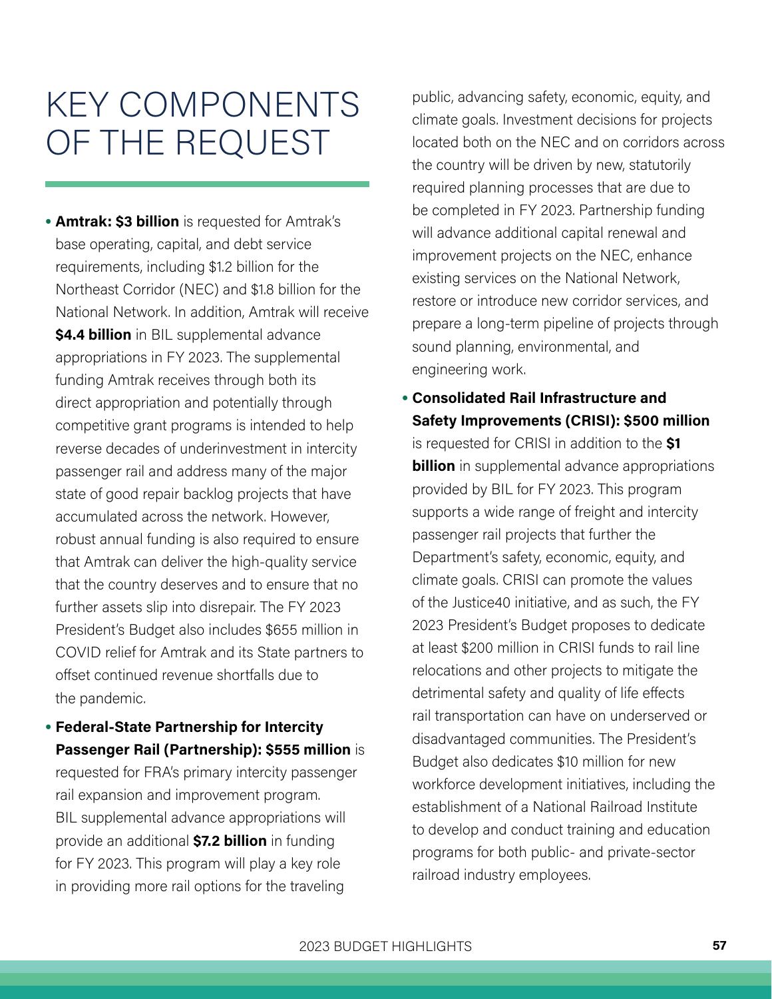## KEY COMPONENTS OF THE REQUEST

**•** Amtrak: \$3 billion is requested for Amtrak's base operating, capital, and debt service requirements, including \$1.2 billion for the Northeast Corridor (NEC) and \$1.8 billion for the National Network In addition, Amtrak will receive **\$4.4 billion** in BIL supplemental advance appropriations in FY 2023 The supplemental funding Amtrak receives through both its direct appropriation and potentially through competitive grant programs is intended to help reverse decades of underinvestment in intercity passenger rail and address many of the major state of good repair backlog projects that have accumulated across the network However, robust annual funding is also required to ensure that Amtrak can deliver the high-quality service that the country deserves and to ensure that no further assets slip into disrepair. The FY 2023 President's Budget also includes \$655 million in COVID relief for Amtrak and its State partners to offset continued revenue shortfalls due to the pandemic

**•** Federal-State Partnership for Intercity Passenger Rail (Partnership): \$555 million is requested for FRA's primary intercity passenger rail expansion and improvement program BIL supplemental advance appropriations will provide an additional \$7.2 billion in funding for FY 2023. This program will play a key role in providing more rail options for the traveling

public, advancing safety, economic, equity, and climate goals Investment decisions for projects located both on the NEC and on corridors across the country will be driven by new, statutorily required planning processes that are due to be completed in FY 2023. Partnership funding will advance additional capital renewal and improvement projects on the NEC, enhance existing services on the National Network, restore or introduce new corridor services, and prepare a long-term pipeline of projects through sound planning, environmental, and engineering work

**•** Consolidated Rail Infrastructure and Safety Improvements (CRISI): \$500 million

is requested for CRISI in addition to the \$1 **billion** in supplemental advance appropriations provided by BIL for FY 2023 This program supports a wide range of freight and intercity passenger rail projects that further the Department's safety, economic, equity, and climate goals. CRISI can promote the values of the Justice40 initiative, and as such, the FY 2023 President's Budget proposes to dedicate at least \$200 million in CRISI funds to rail line relocations and other projects to mitigate the detrimental safety and quality of life effects rail transportation can have on underserved or disadvantaged communities The President's Budget also dedicates \$10 million for new workforce development initiatives, including the establishment of a National Railroad Institute to develop and conduct training and education programs for both public- and private-sector railroad industry employees